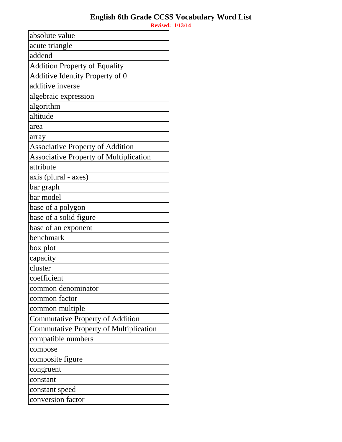absolute value acute triangle addend Addition Property of Equality Additive Identity Property of 0 additive inverse algebraic expression algorithm altitude area array Associative Property of Addition Associative Property of Multiplication attribute axis (plural - axes) bar graph bar model base of a polygon base of a solid figure base of an exponent benchmark box plot capacity cluster coefficient common denominator common factor common multiple Commutative Property of Addition Commutative Property of Multiplication compatible numbers compose composite figure congruent constant constant speed conversion factor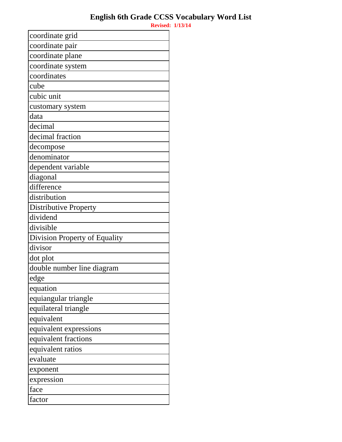| coordinate grid               |
|-------------------------------|
| coordinate pair               |
| coordinate plane              |
| coordinate system             |
| coordinates                   |
| cube                          |
| cubic unit                    |
| customary system              |
| data                          |
| decimal                       |
| decimal fraction              |
| decompose                     |
| denominator                   |
| dependent variable            |
| diagonal                      |
| difference                    |
| distribution                  |
| <b>Distributive Property</b>  |
| dividend                      |
| divisible                     |
| Division Property of Equality |
| divisor                       |
| dot plot                      |
| double number line diagram    |
| edge                          |
| equation                      |
| equiangular triangle          |
| equilateral triangle          |
| equivalent                    |
| equivalent expressions        |
| equivalent fractions          |
| equivalent ratios             |
| evaluate                      |
| exponent                      |
| expression                    |
| face                          |
| factor                        |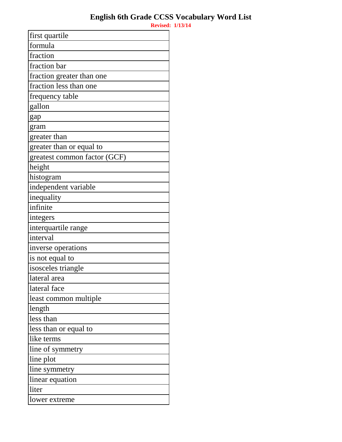| first quartile               |
|------------------------------|
| formula                      |
| fraction                     |
| fraction bar                 |
| fraction greater than one    |
| fraction less than one       |
| frequency table              |
| gallon                       |
| gap                          |
| gram                         |
| greater than                 |
| greater than or equal to     |
| greatest common factor (GCF) |
| height                       |
| histogram                    |
| independent variable         |
| inequality                   |
| infinite                     |
| integers                     |
| interquartile range          |
| interval                     |
| inverse operations           |
| is not equal to              |
| isosceles triangle           |
| lateral area                 |
| lateral face                 |
| least common multiple        |
| length                       |
| less than                    |
| less than or equal to        |
| like terms                   |
| line of symmetry             |
| line plot                    |
| line symmetry                |
| linear equation              |
| liter                        |
| lower extreme                |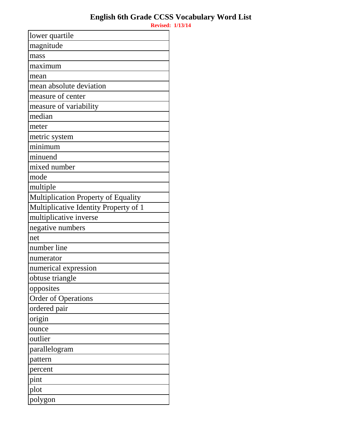| lower quartile                             |
|--------------------------------------------|
| magnitude                                  |
| mass                                       |
| maximum                                    |
| mean                                       |
| mean absolute deviation                    |
| measure of center                          |
| measure of variability                     |
| median                                     |
| meter                                      |
| metric system                              |
| minimum                                    |
| minuend                                    |
| mixed number                               |
| mode                                       |
| multiple                                   |
| <b>Multiplication Property of Equality</b> |
| Multiplicative Identity Property of 1      |
| multiplicative inverse                     |
| negative numbers                           |
| net                                        |
| number line                                |
| numerator                                  |
| numerical expression                       |
| obtuse triangle                            |
| opposites                                  |
| <b>Order of Operations</b>                 |
| ordered pair                               |
| origin                                     |
| ounce                                      |
| outlier                                    |
| parallelogram                              |
| pattern                                    |
| percent                                    |
| pint                                       |
| plot                                       |
| polygon                                    |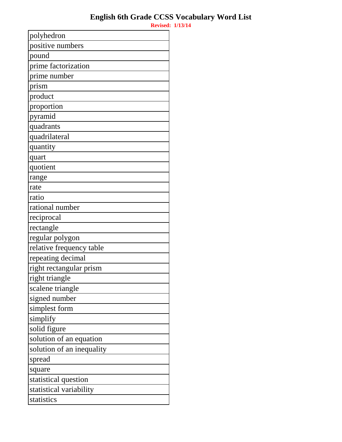**Revised: 1/13/14** polyhedron positive numbers pound prime factorization prime number prism product proportion pyramid quadrants quadrilateral quantity quart quotient range rate ratio rational number reciprocal rectangle regular polygon relative frequency table repeating decimal right rectangular prism right triangle scalene triangle signed number simplest form simplify solid figure solution of an equation solution of an inequality spread square

statistical question

statistical variability

statistics